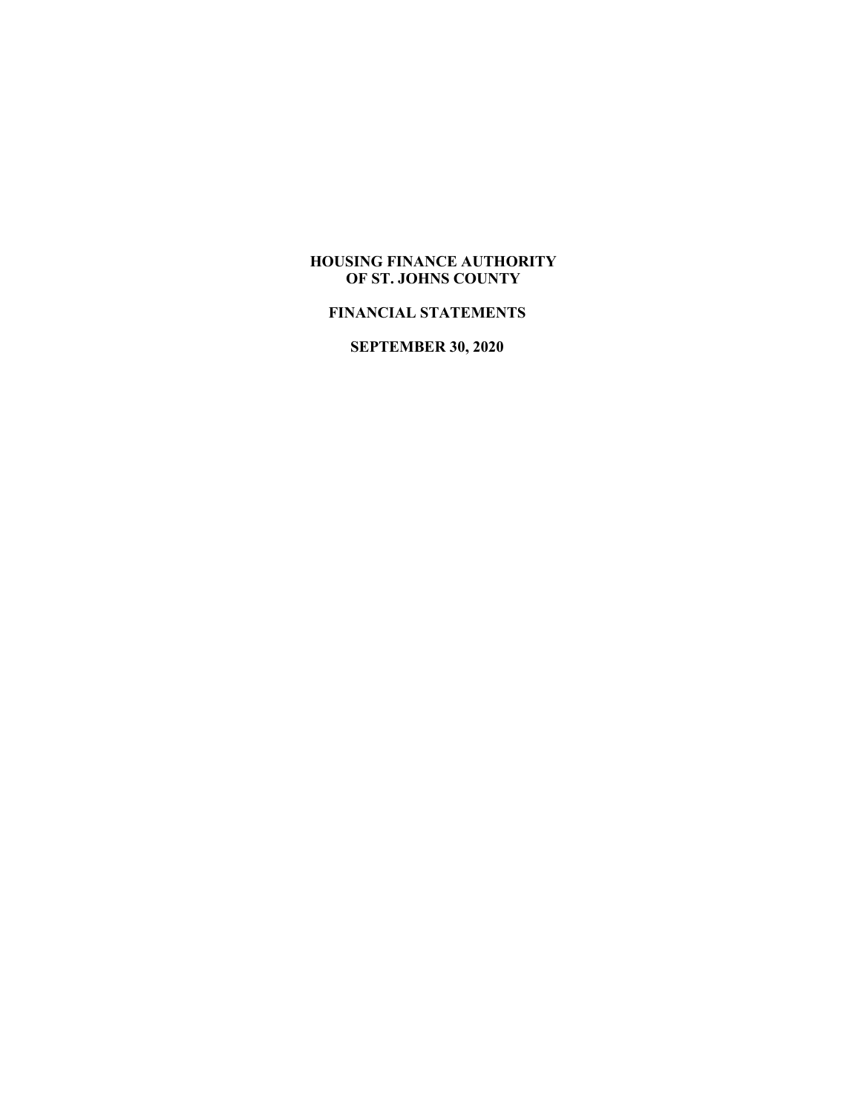# **HOUSING FINANCE AUTHORITY OF ST. JOHNS COUNTY**

# **FINANCIAL STATEMENTS**

**SEPTEMBER 30, 2020**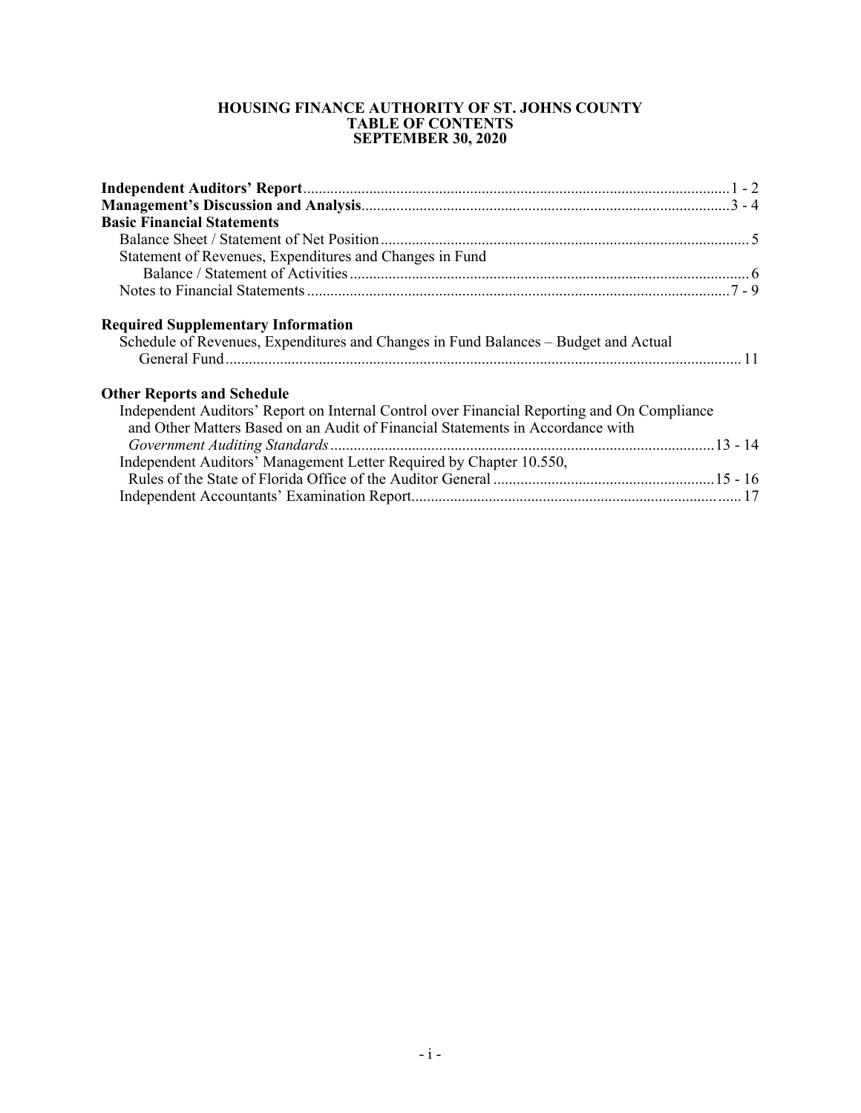#### **HOUSING FINANCE AUTHORITY OF ST. JOHNS COUNTY TABLE OF CONTENTS SEPTEMBER 30, 2020**

| <b>Basic Financial Statements</b>                                                                                                                                             |
|-------------------------------------------------------------------------------------------------------------------------------------------------------------------------------|
|                                                                                                                                                                               |
| Statement of Revenues, Expenditures and Changes in Fund                                                                                                                       |
|                                                                                                                                                                               |
|                                                                                                                                                                               |
| <b>Required Supplementary Information</b><br>Schedule of Revenues, Expenditures and Changes in Fund Balances – Budget and Actual                                              |
| <b>Other Reports and Schedule</b>                                                                                                                                             |
| Independent Auditors' Report on Internal Control over Financial Reporting and On Compliance<br>and Other Matters Based on an Audit of Financial Statements in Accordance with |
|                                                                                                                                                                               |
| Independent Auditors' Management Letter Required by Chapter 10.550,                                                                                                           |
|                                                                                                                                                                               |
|                                                                                                                                                                               |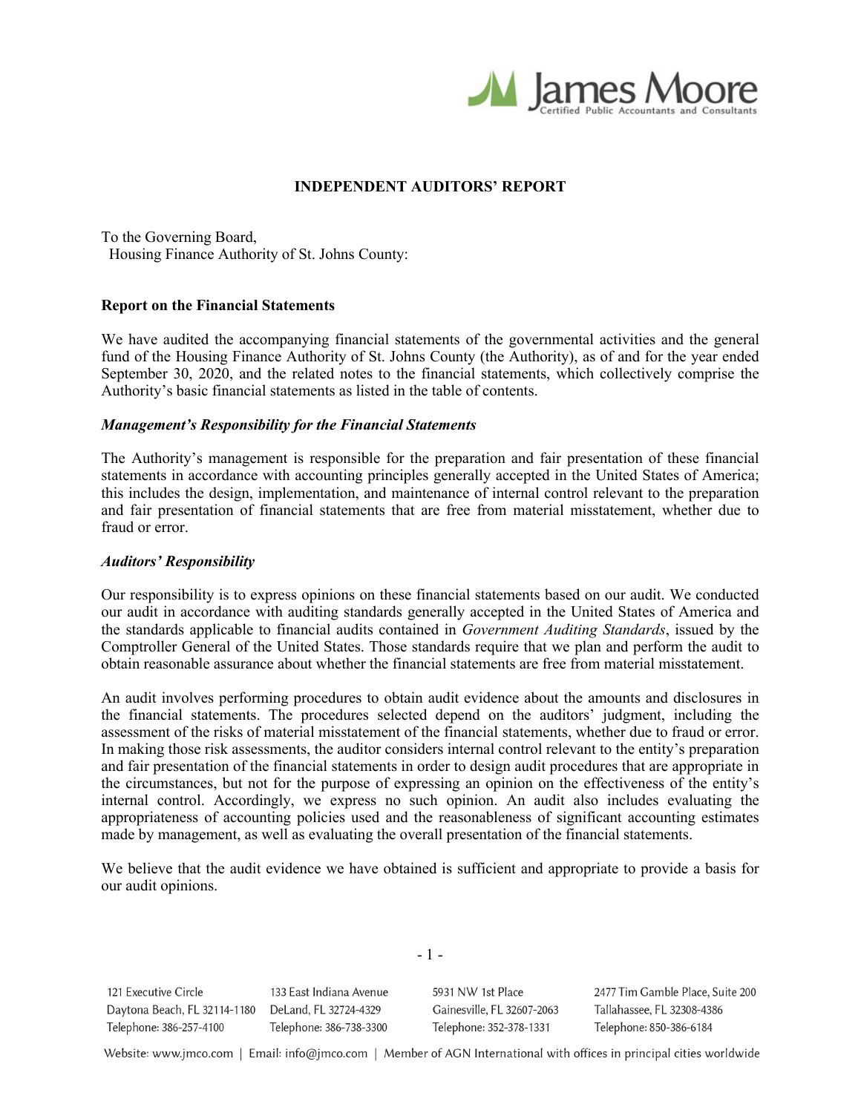

# **INDEPENDENT AUDITORS' REPORT**

To the Governing Board, Housing Finance Authority of St. Johns County:

#### **Report on the Financial Statements**

We have audited the accompanying financial statements of the governmental activities and the general fund of the Housing Finance Authority of St. Johns County (the Authority), as of and for the year ended September 30, 2020, and the related notes to the financial statements, which collectively comprise the Authority's basic financial statements as listed in the table of contents.

#### *Management's Responsibility for the Financial Statements*

The Authority's management is responsible for the preparation and fair presentation of these financial statements in accordance with accounting principles generally accepted in the United States of America; this includes the design, implementation, and maintenance of internal control relevant to the preparation and fair presentation of financial statements that are free from material misstatement, whether due to fraud or error.

#### *Auditors' Responsibility*

Our responsibility is to express opinions on these financial statements based on our audit. We conducted our audit in accordance with auditing standards generally accepted in the United States of America and the standards applicable to financial audits contained in *Government Auditing Standards*, issued by the Comptroller General of the United States. Those standards require that we plan and perform the audit to obtain reasonable assurance about whether the financial statements are free from material misstatement.

An audit involves performing procedures to obtain audit evidence about the amounts and disclosures in the financial statements. The procedures selected depend on the auditors' judgment, including the assessment of the risks of material misstatement of the financial statements, whether due to fraud or error. In making those risk assessments, the auditor considers internal control relevant to the entity's preparation and fair presentation of the financial statements in order to design audit procedures that are appropriate in the circumstances, but not for the purpose of expressing an opinion on the effectiveness of the entity's internal control. Accordingly, we express no such opinion. An audit also includes evaluating the appropriateness of accounting policies used and the reasonableness of significant accounting estimates made by management, as well as evaluating the overall presentation of the financial statements.

We believe that the audit evidence we have obtained is sufficient and appropriate to provide a basis for our audit opinions.

- 1 -

121 Executive Circle 133 East Indiana Avenue Daytona Beach, FL 32114-1180 DeLand, FL 32724-4329 Telephone: 386-257-4100 Telephone: 386-738-3300

5931 NW 1st Place Gainesville, FL 32607-2063 Telephone: 352-378-1331

2477 Tim Gamble Place, Suite 200 Tallahassee, FL 32308-4386 Telephone: 850-386-6184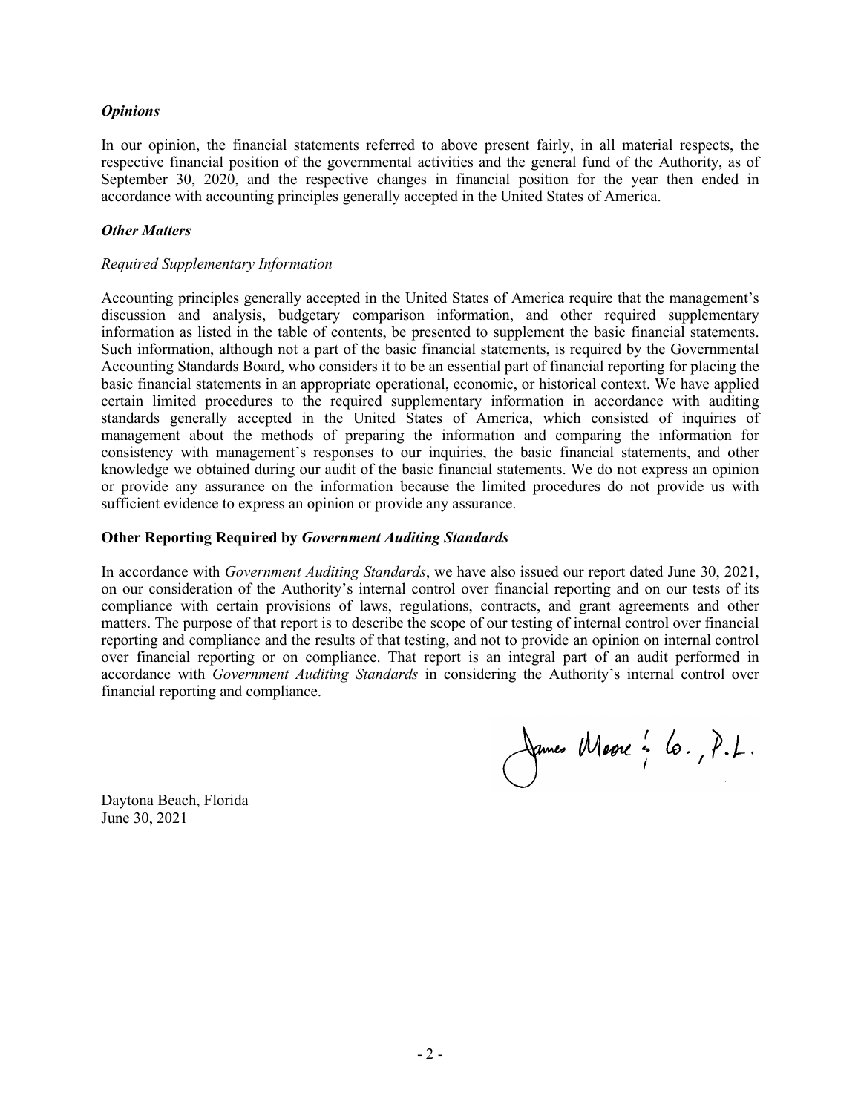### *Opinions*

In our opinion, the financial statements referred to above present fairly, in all material respects, the respective financial position of the governmental activities and the general fund of the Authority, as of September 30, 2020, and the respective changes in financial position for the year then ended in accordance with accounting principles generally accepted in the United States of America.

#### *Other Matters*

## *Required Supplementary Information*

Accounting principles generally accepted in the United States of America require that the management's discussion and analysis, budgetary comparison information, and other required supplementary information as listed in the table of contents, be presented to supplement the basic financial statements. Such information, although not a part of the basic financial statements, is required by the Governmental Accounting Standards Board, who considers it to be an essential part of financial reporting for placing the basic financial statements in an appropriate operational, economic, or historical context. We have applied certain limited procedures to the required supplementary information in accordance with auditing standards generally accepted in the United States of America, which consisted of inquiries of management about the methods of preparing the information and comparing the information for consistency with management's responses to our inquiries, the basic financial statements, and other knowledge we obtained during our audit of the basic financial statements. We do not express an opinion or provide any assurance on the information because the limited procedures do not provide us with sufficient evidence to express an opinion or provide any assurance.

# **Other Reporting Required by** *Government Auditing Standards*

In accordance with *Government Auditing Standards*, we have also issued our report dated June 30, 2021, on our consideration of the Authority's internal control over financial reporting and on our tests of its compliance with certain provisions of laws, regulations, contracts, and grant agreements and other matters. The purpose of that report is to describe the scope of our testing of internal control over financial reporting and compliance and the results of that testing, and not to provide an opinion on internal control over financial reporting or on compliance. That report is an integral part of an audit performed in accordance with *Government Auditing Standards* in considering the Authority's internal control over financial reporting and compliance.

James Marre : 6., P.L.

Daytona Beach, Florida June 30, 2021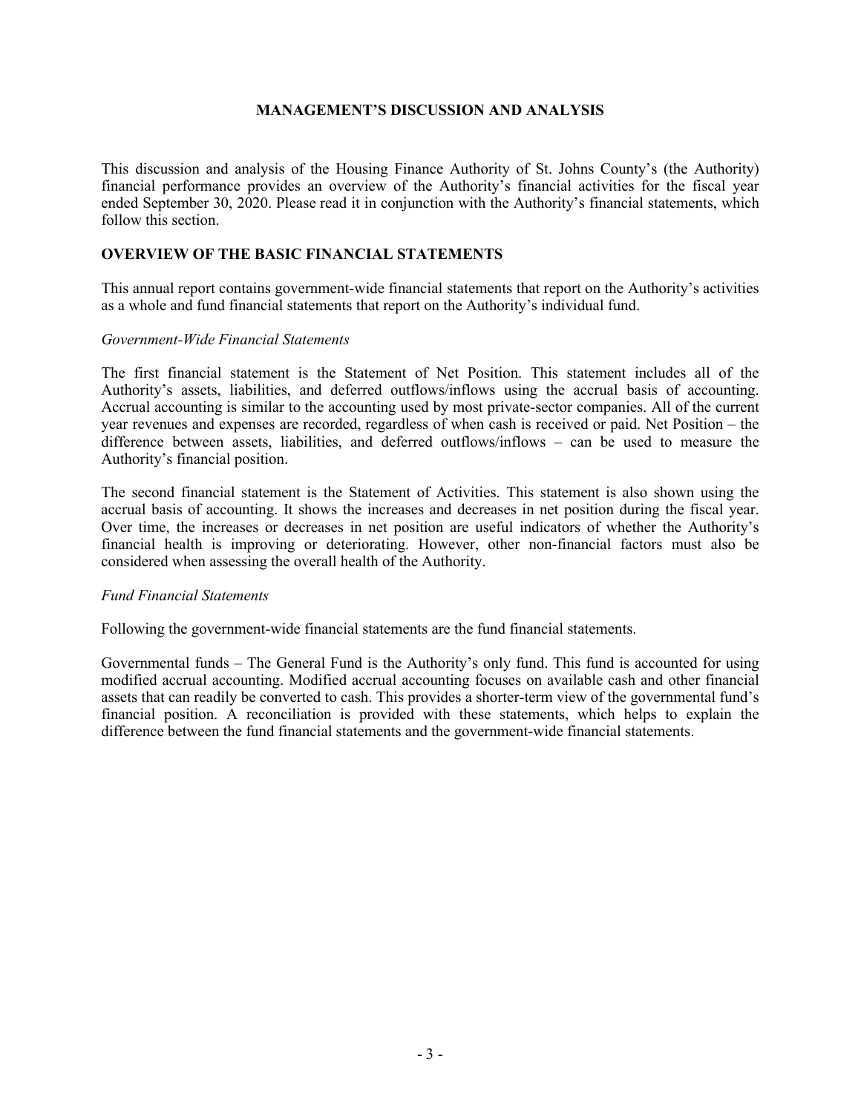## **MANAGEMENT'S DISCUSSION AND ANALYSIS**

This discussion and analysis of the Housing Finance Authority of St. Johns County's (the Authority) financial performance provides an overview of the Authority's financial activities for the fiscal year ended September 30, 2020. Please read it in conjunction with the Authority's financial statements, which follow this section.

## **OVERVIEW OF THE BASIC FINANCIAL STATEMENTS**

This annual report contains government‐wide financial statements that report on the Authority's activities as a whole and fund financial statements that report on the Authority's individual fund.

#### *Government‐Wide Financial Statements*

The first financial statement is the Statement of Net Position. This statement includes all of the Authority's assets, liabilities, and deferred outflows/inflows using the accrual basis of accounting. Accrual accounting is similar to the accounting used by most private‐sector companies. All of the current year revenues and expenses are recorded, regardless of when cash is received or paid. Net Position – the difference between assets, liabilities, and deferred outflows/inflows – can be used to measure the Authority's financial position.

The second financial statement is the Statement of Activities. This statement is also shown using the accrual basis of accounting. It shows the increases and decreases in net position during the fiscal year. Over time, the increases or decreases in net position are useful indicators of whether the Authority's financial health is improving or deteriorating. However, other non-financial factors must also be considered when assessing the overall health of the Authority.

#### *Fund Financial Statements*

Following the government-wide financial statements are the fund financial statements.

Governmental funds – The General Fund is the Authority's only fund. This fund is accounted for using modified accrual accounting. Modified accrual accounting focuses on available cash and other financial assets that can readily be converted to cash. This provides a shorter-term view of the governmental fund's financial position. A reconciliation is provided with these statements, which helps to explain the difference between the fund financial statements and the government‐wide financial statements.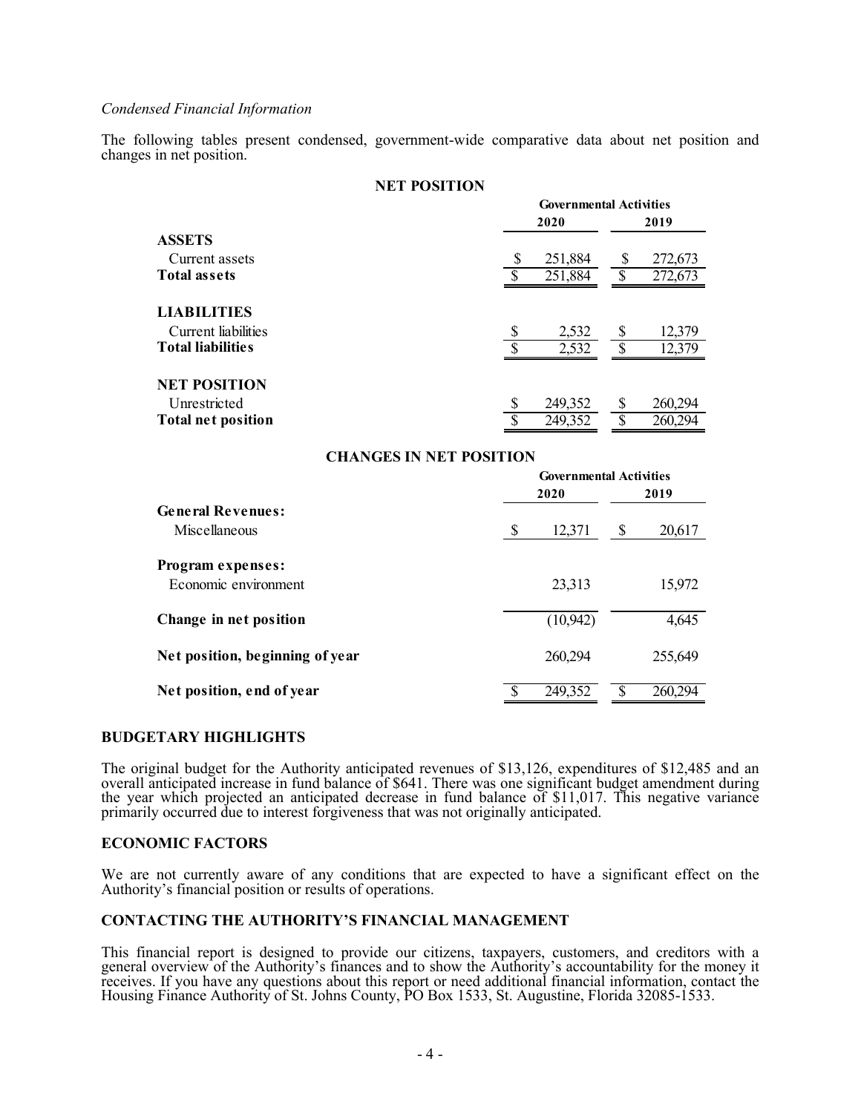#### *Condensed Financial Information*

The following tables present condensed, government-wide comparative data about net position and changes in net position.

## **NET POSITION**

|                           | <b>Governmental Activities</b> |         |   |         |  |  |  |
|---------------------------|--------------------------------|---------|---|---------|--|--|--|
|                           |                                | 2020    |   |         |  |  |  |
| <b>ASSETS</b>             |                                |         |   |         |  |  |  |
| Current assets            |                                | 251,884 |   | 272,673 |  |  |  |
| <b>Total assets</b>       | S                              | 251,884 |   | 272,673 |  |  |  |
| <b>LIABILITIES</b>        |                                |         |   |         |  |  |  |
| Current liabilities       |                                | 2,532   | S | 12,379  |  |  |  |
| <b>Total liabilities</b>  | Φ                              | 2,532   |   | 12,379  |  |  |  |
| <b>NET POSITION</b>       |                                |         |   |         |  |  |  |
| Unrestricted              | \$                             | 249,352 |   | 260,294 |  |  |  |
| <b>Total net position</b> | $\mathcal{S}$                  | 249,352 |   | 260,294 |  |  |  |

#### **CHANGES IN NET POSITION**

|                                 | <b>Governmental Activities</b><br>2020<br>2019 |   |         |  |  |  |
|---------------------------------|------------------------------------------------|---|---------|--|--|--|
| <b>General Revenues:</b>        |                                                |   |         |  |  |  |
| Miscellaneous                   | \$<br>12,371                                   | S | 20,617  |  |  |  |
| <b>Program expenses:</b>        |                                                |   |         |  |  |  |
| Economic environment            | 23,313                                         |   | 15,972  |  |  |  |
| Change in net position          | (10, 942)                                      |   | 4,645   |  |  |  |
| Net position, beginning of year | 260,294                                        |   | 255,649 |  |  |  |
| Net position, end of year       | 249,352                                        |   | 260,294 |  |  |  |

#### **BUDGETARY HIGHLIGHTS**

The original budget for the Authority anticipated revenues of \$13,126, expenditures of \$12,485 and an overall anticipated increase in fund balance of \$641. There was one significant budget amendment during the year which projected an anticipated decrease in fund balance of \$11,017. This negative variance primarily occurred due to interest forgiveness that was not originally anticipated.

#### **ECONOMIC FACTORS**

We are not currently aware of any conditions that are expected to have a significant effect on the Authority's financial position or results of operations.

# **CONTACTING THE AUTHORITY'S FINANCIAL MANAGEMENT**

This financial report is designed to provide our citizens, taxpayers, customers, and creditors with a general overview of the Authority's finances and to show the Authority's accountability for the money it receives. If you have any questions about this report or need additional financial information, contact the Housing Finance Authority of St. Johns County, PO Box 1533, St. Augustine, Florida 32085-1533.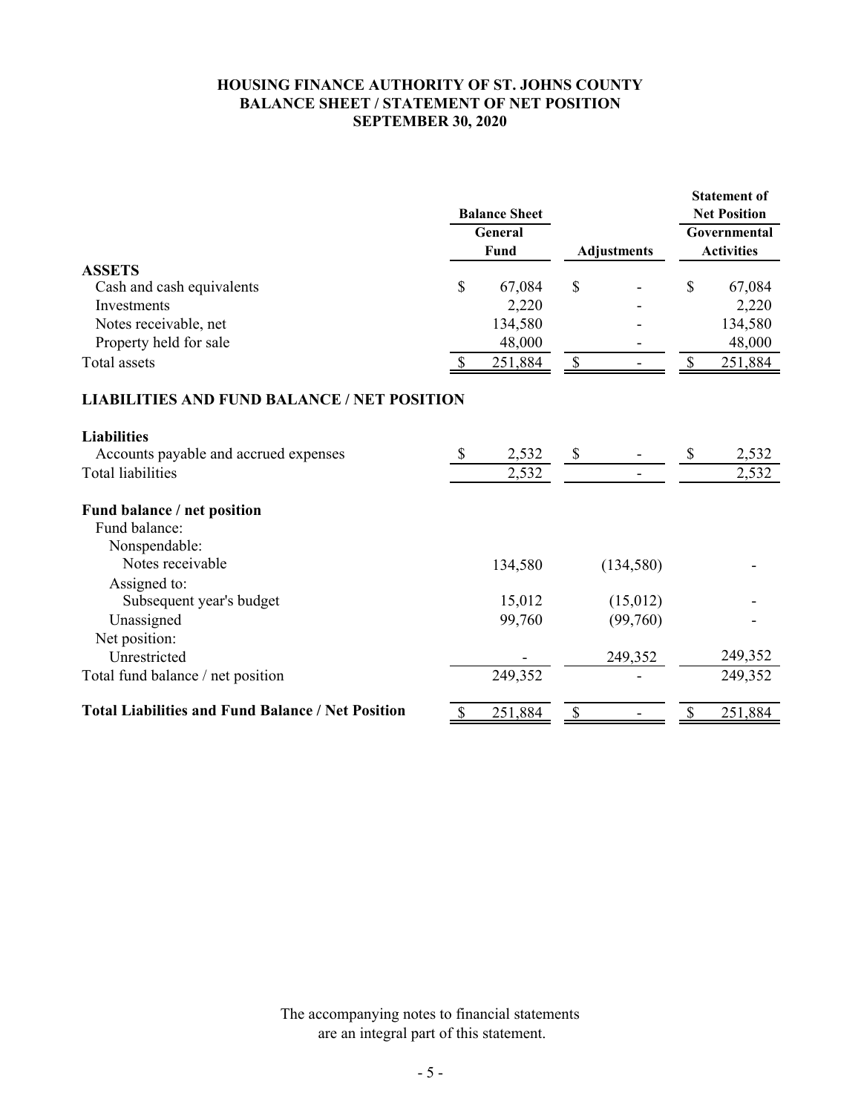# **HOUSING FINANCE AUTHORITY OF ST. JOHNS COUNTY BALANCE SHEET / STATEMENT OF NET POSITION SEPTEMBER 30, 2020**

| <b>Balance Sheet</b>                                          |                           |         |                           |           |                   | <b>Statement of</b><br><b>Net Position</b> |
|---------------------------------------------------------------|---------------------------|---------|---------------------------|-----------|-------------------|--------------------------------------------|
|                                                               | General<br>Fund           |         |                           |           |                   | Governmental                               |
|                                                               |                           |         | <b>Adjustments</b>        |           | <b>Activities</b> |                                            |
| <b>ASSETS</b>                                                 |                           |         |                           |           |                   |                                            |
| Cash and cash equivalents                                     | \$                        | 67,084  | $\mathbb{S}$              |           | $\mathbb{S}$      | 67,084                                     |
| <b>Investments</b>                                            |                           | 2,220   |                           |           |                   | 2,220                                      |
| Notes receivable, net                                         |                           | 134,580 |                           |           |                   | 134,580                                    |
| Property held for sale                                        |                           | 48,000  |                           |           |                   | 48,000                                     |
| <b>Total</b> assets                                           | <sup>\$</sup>             | 251,884 | $\boldsymbol{\mathsf{S}}$ |           | \$                | 251,884                                    |
| <b>LIABILITIES AND FUND BALANCE / NET POSITION</b>            |                           |         |                           |           |                   |                                            |
| <b>Liabilities</b>                                            |                           |         |                           |           |                   |                                            |
| Accounts payable and accrued expenses                         | \$                        | 2,532   | $\mathcal{S}$             |           | \$                | 2,532                                      |
| <b>Total liabilities</b>                                      |                           | 2,532   |                           |           |                   | 2,532                                      |
| Fund balance / net position<br>Fund balance:<br>Nonspendable: |                           |         |                           |           |                   |                                            |
| Notes receivable                                              |                           | 134,580 |                           | (134,580) |                   |                                            |
| Assigned to:                                                  |                           |         |                           |           |                   |                                            |
| Subsequent year's budget                                      |                           | 15,012  |                           | (15,012)  |                   |                                            |
| Unassigned                                                    |                           | 99,760  |                           | (99,760)  |                   |                                            |
| Net position:                                                 |                           |         |                           |           |                   |                                            |
| Unrestricted                                                  |                           |         |                           | 249,352   |                   | 249,352                                    |
| Total fund balance / net position                             |                           | 249,352 |                           |           |                   | 249,352                                    |
| <b>Total Liabilities and Fund Balance / Net Position</b>      | $\boldsymbol{\mathsf{S}}$ | 251,884 | $\mathcal{S}$             |           | \$                | 251,884                                    |

The accompanying notes to financial statements are an integral part of this statement.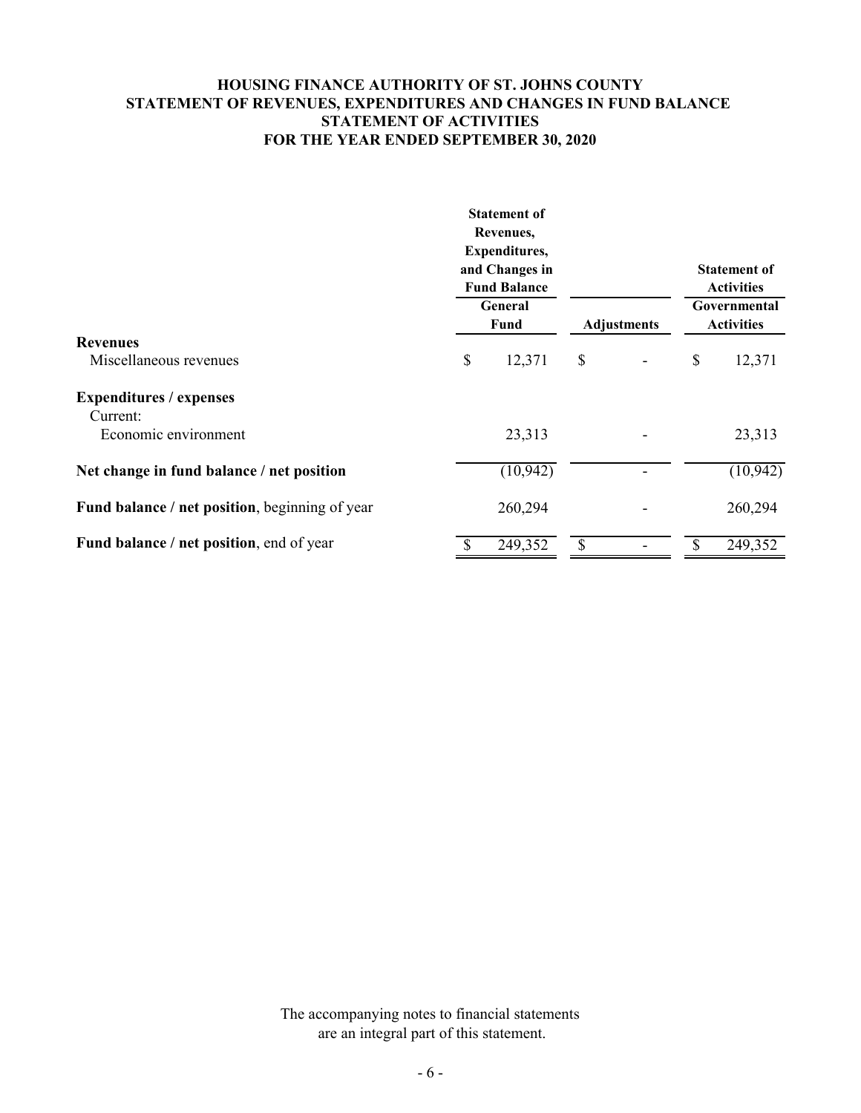# **HOUSING FINANCE AUTHORITY OF ST. JOHNS COUNTY STATEMENT OF REVENUES, EXPENDITURES AND CHANGES IN FUND BALANCE STATEMENT OF ACTIVITIES FOR THE YEAR ENDED SEPTEMBER 30, 2020**

|                                                | <b>Statement of</b><br>Revenues,<br><b>Expenditures,</b><br>and Changes in<br><b>Fund Balance</b> |                    |  | <b>Statement of</b><br><b>Activities</b> |           |  |
|------------------------------------------------|---------------------------------------------------------------------------------------------------|--------------------|--|------------------------------------------|-----------|--|
|                                                | General<br>Fund                                                                                   | <b>Adjustments</b> |  | Governmental<br><b>Activities</b>        |           |  |
| <b>Revenues</b>                                |                                                                                                   |                    |  |                                          |           |  |
| Miscellaneous revenues                         | \$<br>12,371                                                                                      | \$                 |  | \$                                       | 12,371    |  |
| <b>Expenditures / expenses</b><br>Current:     |                                                                                                   |                    |  |                                          |           |  |
| Economic environment                           | 23,313                                                                                            |                    |  |                                          | 23,313    |  |
| Net change in fund balance / net position      | (10, 942)                                                                                         |                    |  |                                          | (10, 942) |  |
| Fund balance / net position, beginning of year | 260,294                                                                                           |                    |  |                                          | 260,294   |  |
| Fund balance / net position, end of year       | 249,352                                                                                           | \$                 |  |                                          | 249,352   |  |

The accompanying notes to financial statements are an integral part of this statement.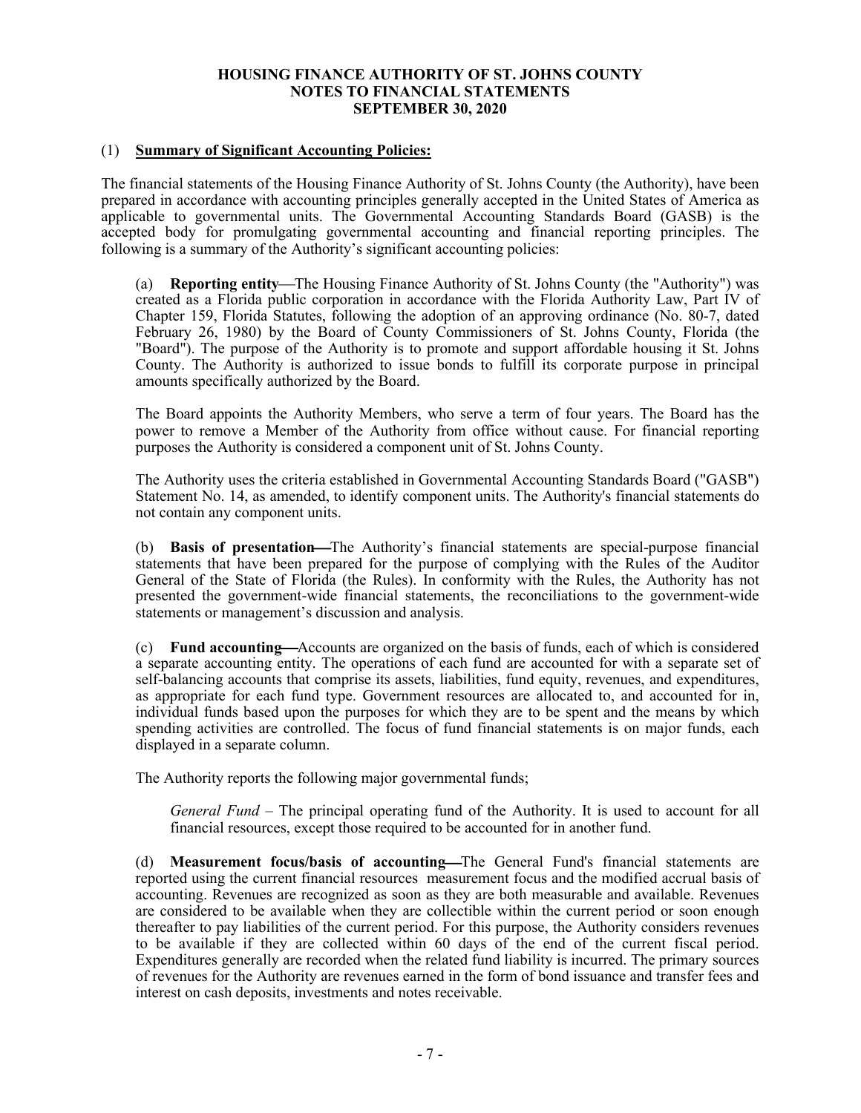## **HOUSING FINANCE AUTHORITY OF ST. JOHNS COUNTY NOTES TO FINANCIAL STATEMENTS SEPTEMBER 30, 2020**

## (1) **Summary of Significant Accounting Policies:**

The financial statements of the Housing Finance Authority of St. Johns County (the Authority), have been prepared in accordance with accounting principles generally accepted in the United States of America as applicable to governmental units. The Governmental Accounting Standards Board (GASB) is the accepted body for promulgating governmental accounting and financial reporting principles. The following is a summary of the Authority's significant accounting policies:

(a) **Reporting entity—The Housing Finance Authority of St. Johns County (the "Authority") was** created as a Florida public corporation in accordance with the Florida Authority Law, Part IV of Chapter 159, Florida Statutes, following the adoption of an approving ordinance (No. 80-7, dated February 26, 1980) by the Board of County Commissioners of St. Johns County, Florida (the "Board"). The purpose of the Authority is to promote and support affordable housing it St. Johns County. The Authority is authorized to issue bonds to fulfill its corporate purpose in principal amounts specifically authorized by the Board.

The Board appoints the Authority Members, who serve a term of four years. The Board has the power to remove a Member of the Authority from office without cause. For financial reporting purposes the Authority is considered a component unit of St. Johns County.

The Authority uses the criteria established in Governmental Accounting Standards Board ("GASB") Statement No. 14, as amended, to identify component units. The Authority's financial statements do not contain any component units.

(b) **Basis of presentation—**The Authority's financial statements are special-purpose financial statements that have been prepared for the purpose of complying with the Rules of the Auditor General of the State of Florida (the Rules). In conformity with the Rules, the Authority has not presented the government-wide financial statements, the reconciliations to the government-wide statements or management's discussion and analysis.

(c) **Fund accounting—**Accounts are organized on the basis of funds, each of which is considered a separate accounting entity. The operations of each fund are accounted for with a separate set of self-balancing accounts that comprise its assets, liabilities, fund equity, revenues, and expenditures, as appropriate for each fund type. Government resources are allocated to, and accounted for in, individual funds based upon the purposes for which they are to be spent and the means by which spending activities are controlled. The focus of fund financial statements is on major funds, each displayed in a separate column.

The Authority reports the following major governmental funds;

*General Fund* – The principal operating fund of the Authority. It is used to account for all financial resources, except those required to be accounted for in another fund.

(d) **Measurement focus/basis of accounting—The General Fund's financial statements are** reported using the current financial resources measurement focus and the modified accrual basis of accounting. Revenues are recognized as soon as they are both measurable and available. Revenues are considered to be available when they are collectible within the current period or soon enough thereafter to pay liabilities of the current period. For this purpose, the Authority considers revenues to be available if they are collected within 60 days of the end of the current fiscal period. Expenditures generally are recorded when the related fund liability is incurred. The primary sources of revenues for the Authority are revenues earned in the form of bond issuance and transfer fees and interest on cash deposits, investments and notes receivable.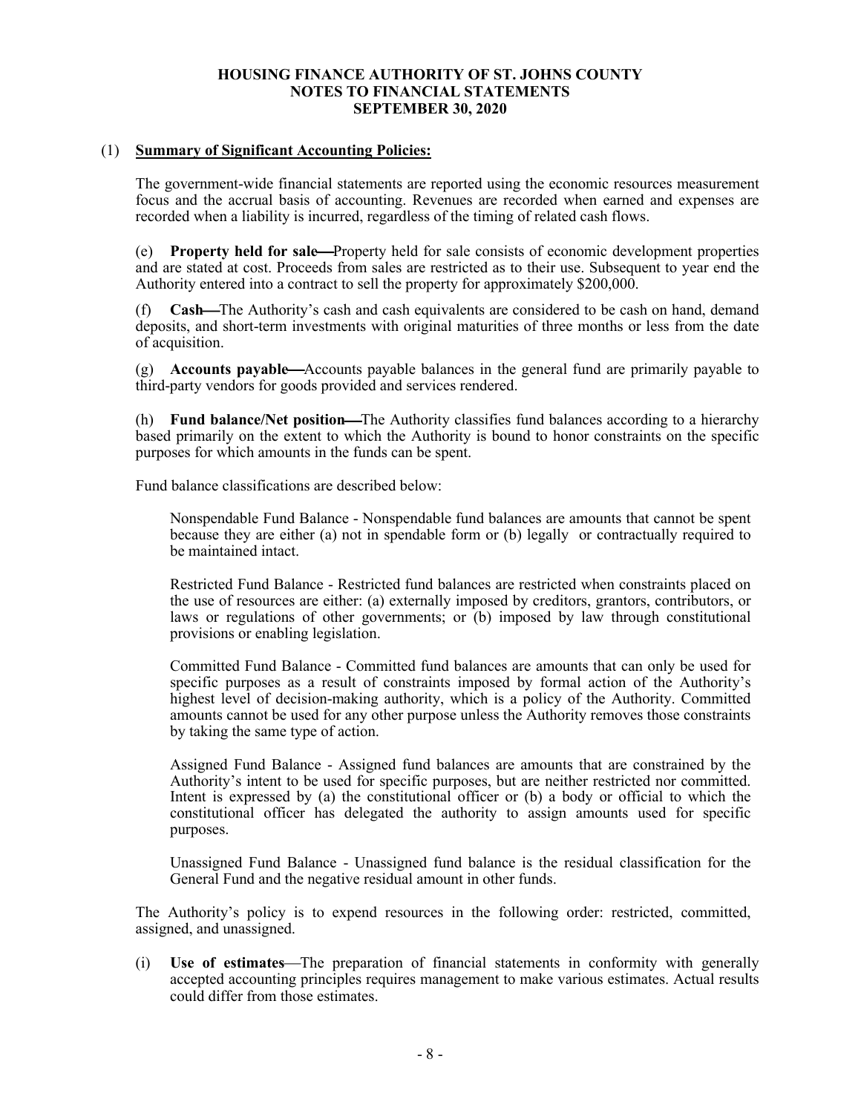### **HOUSING FINANCE AUTHORITY OF ST. JOHNS COUNTY NOTES TO FINANCIAL STATEMENTS SEPTEMBER 30, 2020**

#### (1) **Summary of Significant Accounting Policies:**

The government-wide financial statements are reported using the economic resources measurement focus and the accrual basis of accounting. Revenues are recorded when earned and expenses are recorded when a liability is incurred, regardless of the timing of related cash flows.

(e) **Property held for sale**—Property held for sale consists of economic development properties and are stated at cost. Proceeds from sales are restricted as to their use. Subsequent to year end the Authority entered into a contract to sell the property for approximately \$200,000.

(f) **Cash—The Authority's cash and cash equivalents are considered to be cash on hand, demand** deposits, and short-term investments with original maturities of three months or less from the date of acquisition.

(g) **Accounts payable**Accounts payable balances in the general fund are primarily payable to third-party vendors for goods provided and services rendered.

(h) **Fund balance/Net position—**The Authority classifies fund balances according to a hierarchy based primarily on the extent to which the Authority is bound to honor constraints on the specific purposes for which amounts in the funds can be spent.

Fund balance classifications are described below:

Nonspendable Fund Balance - Nonspendable fund balances are amounts that cannot be spent because they are either (a) not in spendable form or (b) legally or contractually required to be maintained intact.

Restricted Fund Balance - Restricted fund balances are restricted when constraints placed on the use of resources are either: (a) externally imposed by creditors, grantors, contributors, or laws or regulations of other governments; or (b) imposed by law through constitutional provisions or enabling legislation.

Committed Fund Balance - Committed fund balances are amounts that can only be used for specific purposes as a result of constraints imposed by formal action of the Authority's highest level of decision-making authority, which is a policy of the Authority. Committed amounts cannot be used for any other purpose unless the Authority removes those constraints by taking the same type of action.

Assigned Fund Balance - Assigned fund balances are amounts that are constrained by the Authority's intent to be used for specific purposes, but are neither restricted nor committed. Intent is expressed by (a) the constitutional officer or (b) a body or official to which the constitutional officer has delegated the authority to assign amounts used for specific purposes.

Unassigned Fund Balance - Unassigned fund balance is the residual classification for the General Fund and the negative residual amount in other funds.

The Authority's policy is to expend resources in the following order: restricted, committed, assigned, and unassigned.

(i) Use of estimates—The preparation of financial statements in conformity with generally accepted accounting principles requires management to make various estimates. Actual results could differ from those estimates.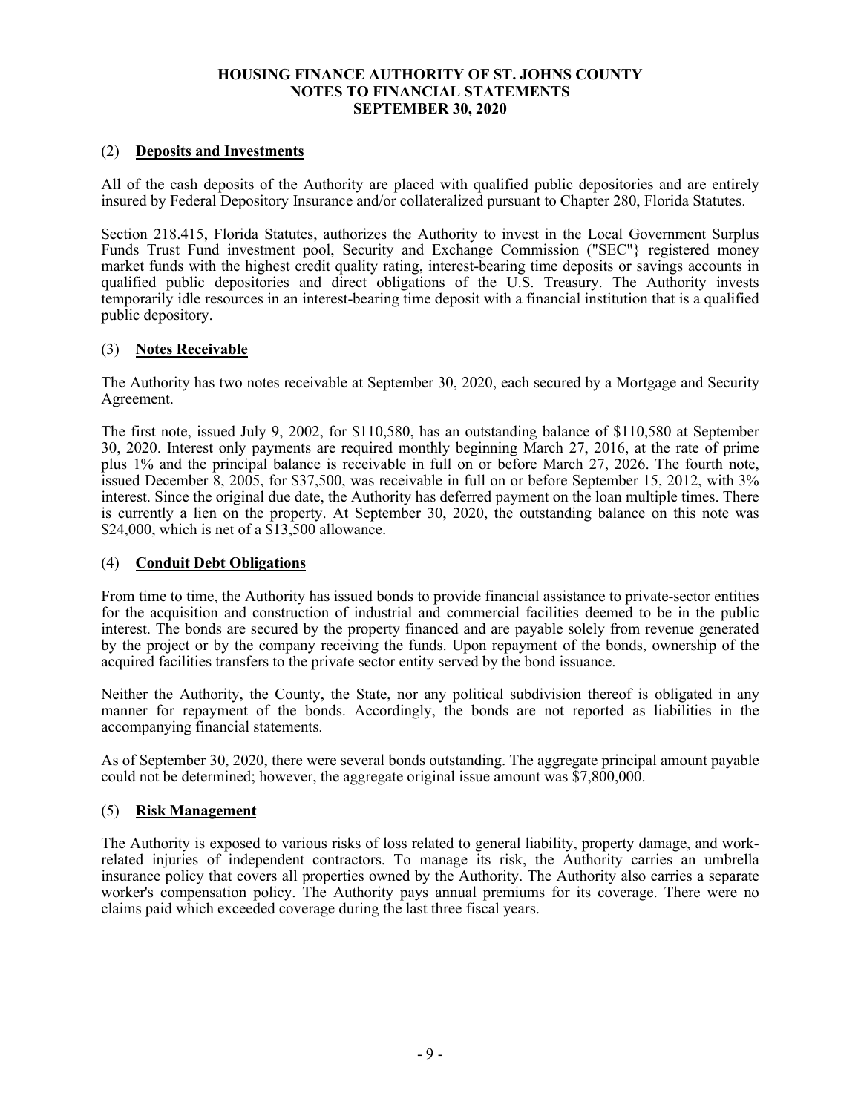## **HOUSING FINANCE AUTHORITY OF ST. JOHNS COUNTY NOTES TO FINANCIAL STATEMENTS SEPTEMBER 30, 2020**

# (2) **Deposits and Investments**

All of the cash deposits of the Authority are placed with qualified public depositories and are entirely insured by Federal Depository Insurance and/or collateralized pursuant to Chapter 280, Florida Statutes.

Section 218.415, Florida Statutes, authorizes the Authority to invest in the Local Government Surplus Funds Trust Fund investment pool, Security and Exchange Commission ("SEC"} registered money market funds with the highest credit quality rating, interest-bearing time deposits or savings accounts in qualified public depositories and direct obligations of the U.S. Treasury. The Authority invests temporarily idle resources in an interest-bearing time deposit with a financial institution that is a qualified public depository.

## (3) **Notes Receivable**

The Authority has two notes receivable at September 30, 2020, each secured by a Mortgage and Security Agreement.

The first note, issued July 9, 2002, for \$110,580, has an outstanding balance of \$110,580 at September 30, 2020. Interest only payments are required monthly beginning March 27, 2016, at the rate of prime plus 1% and the principal balance is receivable in full on or before March 27, 2026. The fourth note, issued December 8, 2005, for \$37,500, was receivable in full on or before September 15, 2012, with 3% interest. Since the original due date, the Authority has deferred payment on the loan multiple times. There is currently a lien on the property. At September 30, 2020, the outstanding balance on this note was \$24,000, which is net of a  $$13,500$  allowance.

#### (4) **Conduit Debt Obligations**

From time to time, the Authority has issued bonds to provide financial assistance to private-sector entities for the acquisition and construction of industrial and commercial facilities deemed to be in the public interest. The bonds are secured by the property financed and are payable solely from revenue generated by the project or by the company receiving the funds. Upon repayment of the bonds, ownership of the acquired facilities transfers to the private sector entity served by the bond issuance.

Neither the Authority, the County, the State, nor any political subdivision thereof is obligated in any manner for repayment of the bonds. Accordingly, the bonds are not reported as liabilities in the accompanying financial statements.

As of September 30, 2020, there were several bonds outstanding. The aggregate principal amount payable could not be determined; however, the aggregate original issue amount was \$7,800,000.

# (5) **Risk Management**

The Authority is exposed to various risks of loss related to general liability, property damage, and workrelated injuries of independent contractors. To manage its risk, the Authority carries an umbrella insurance policy that covers all properties owned by the Authority. The Authority also carries a separate worker's compensation policy. The Authority pays annual premiums for its coverage. There were no claims paid which exceeded coverage during the last three fiscal years.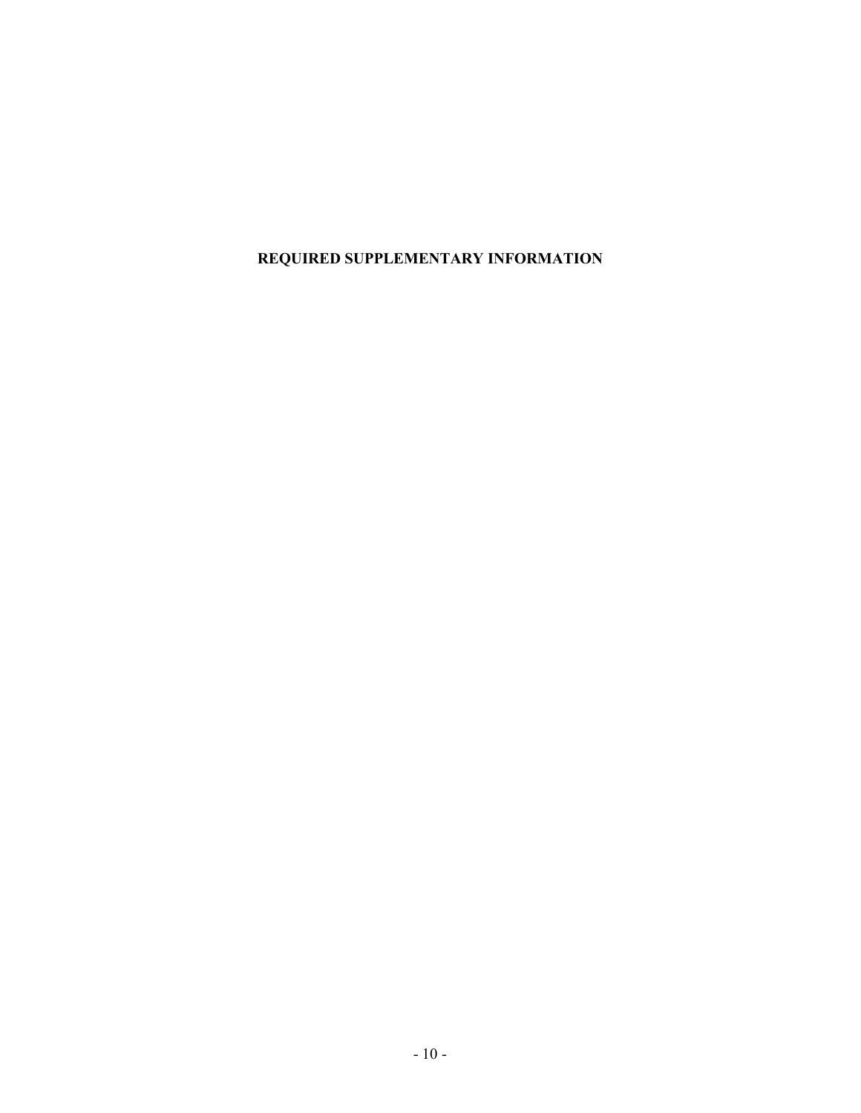**REQUIRED SUPPLEMENTARY INFORMATION**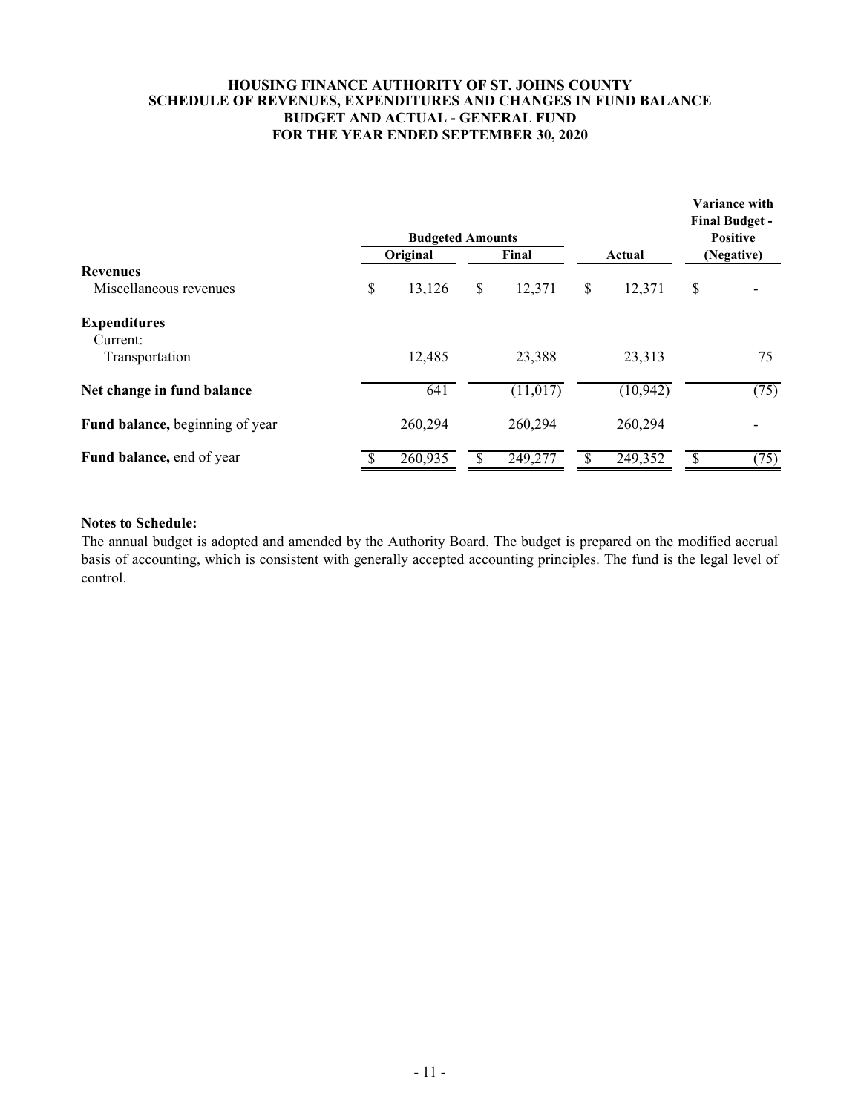## **HOUSING FINANCE AUTHORITY OF ST. JOHNS COUNTY SCHEDULE OF REVENUES, EXPENDITURES AND CHANGES IN FUND BALANCE BUDGET AND ACTUAL - GENERAL FUND FOR THE YEAR ENDED SEPTEMBER 30, 2020**

|                                 |          | <b>Budgeted Amounts</b> |       |          |        |           |            | Variance with<br><b>Final Budget -</b><br><b>Positive</b> |  |
|---------------------------------|----------|-------------------------|-------|----------|--------|-----------|------------|-----------------------------------------------------------|--|
|                                 | Original |                         | Final |          | Actual |           | (Negative) |                                                           |  |
| <b>Revenues</b>                 |          |                         |       |          |        |           |            |                                                           |  |
| Miscellaneous revenues          | \$       | 13,126                  | \$    | 12,371   | \$     | 12,371    | \$         |                                                           |  |
| <b>Expenditures</b><br>Current: |          |                         |       |          |        |           |            |                                                           |  |
| Transportation                  |          | 12,485                  |       | 23,388   |        | 23,313    |            | 75                                                        |  |
| Net change in fund balance      |          | 641                     |       | (11,017) |        | (10, 942) |            | (75)                                                      |  |
| Fund balance, beginning of year |          | 260,294                 |       | 260,294  |        | 260,294   |            |                                                           |  |
| Fund balance, end of year       |          | 260,935                 | S     | 249,277  |        | 249,352   | \$.        | (75)                                                      |  |

#### **Notes to Schedule:**

The annual budget is adopted and amended by the Authority Board. The budget is prepared on the modified accrual basis of accounting, which is consistent with generally accepted accounting principles. The fund is the legal level of control.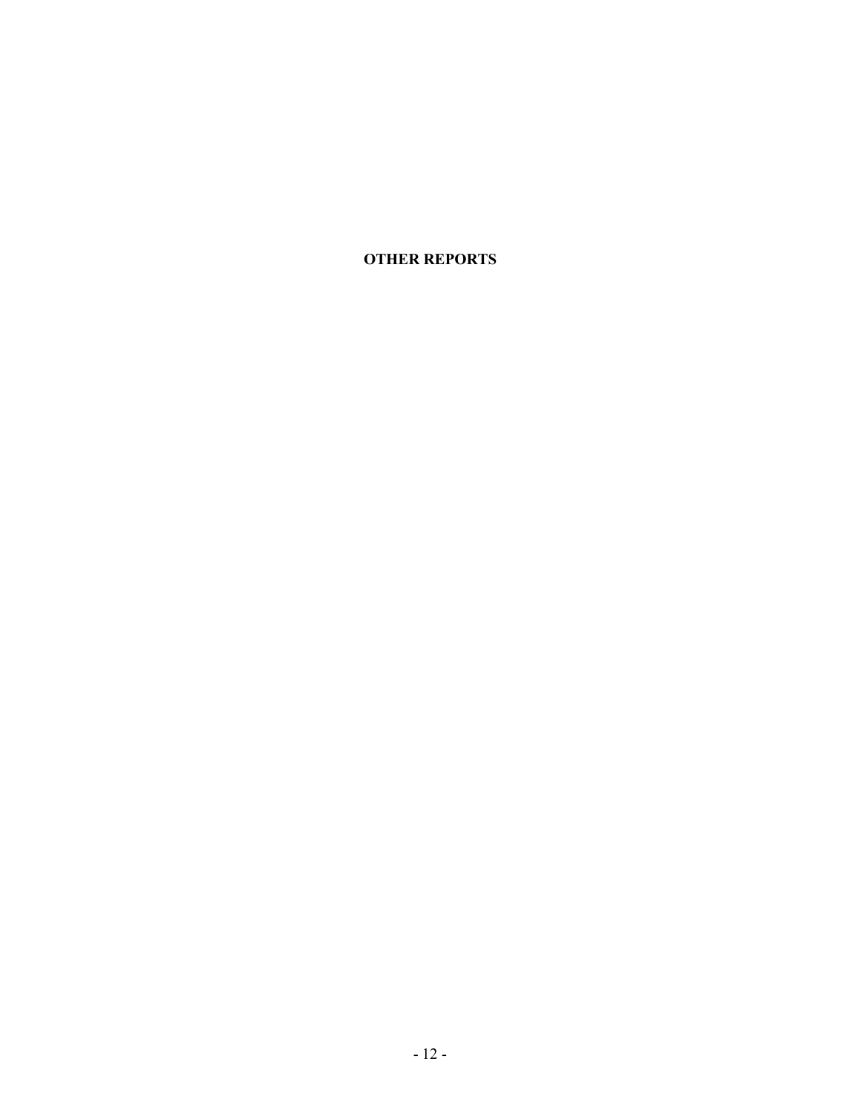**OTHER REPORTS**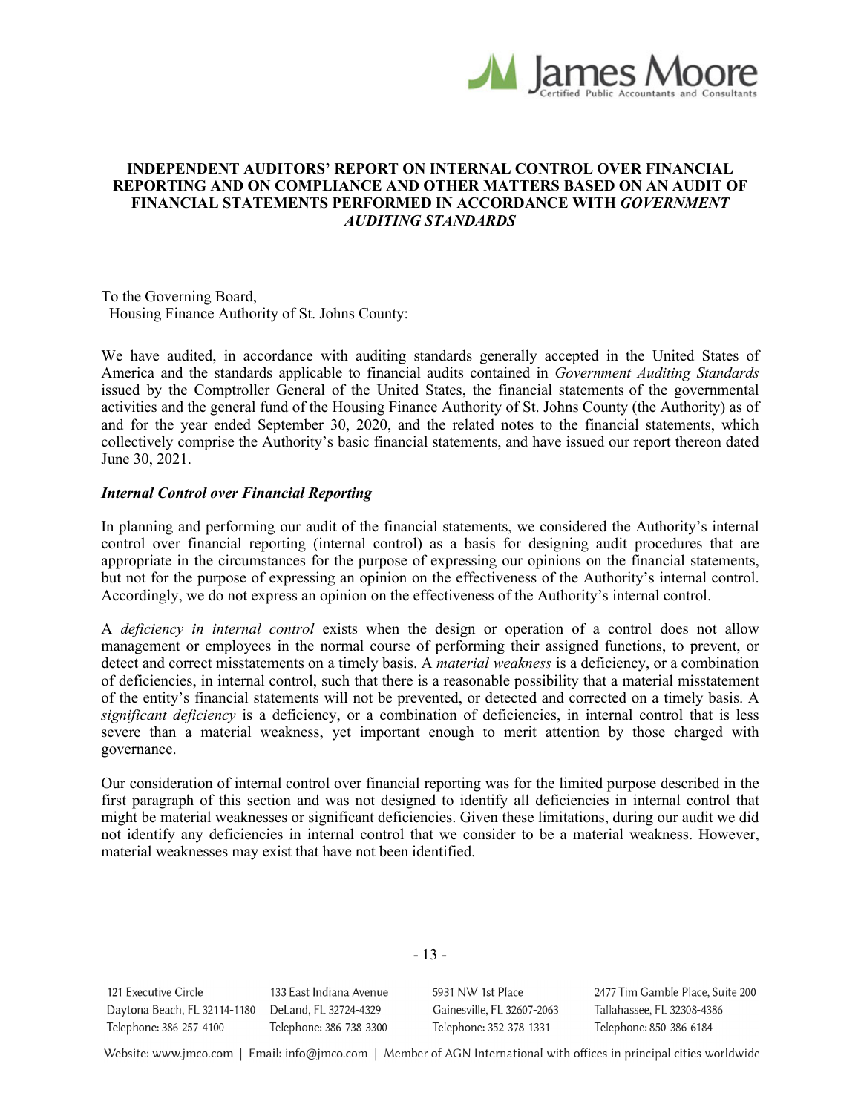

## **INDEPENDENT AUDITORS' REPORT ON INTERNAL CONTROL OVER FINANCIAL REPORTING AND ON COMPLIANCE AND OTHER MATTERS BASED ON AN AUDIT OF FINANCIAL STATEMENTS PERFORMED IN ACCORDANCE WITH** *GOVERNMENT AUDITING STANDARDS*

To the Governing Board, Housing Finance Authority of St. Johns County:

We have audited, in accordance with auditing standards generally accepted in the United States of America and the standards applicable to financial audits contained in *Government Auditing Standards* issued by the Comptroller General of the United States, the financial statements of the governmental activities and the general fund of the Housing Finance Authority of St. Johns County (the Authority) as of and for the year ended September 30, 2020, and the related notes to the financial statements, which collectively comprise the Authority's basic financial statements, and have issued our report thereon dated June 30, 2021.

#### *Internal Control over Financial Reporting*

In planning and performing our audit of the financial statements, we considered the Authority's internal control over financial reporting (internal control) as a basis for designing audit procedures that are appropriate in the circumstances for the purpose of expressing our opinions on the financial statements, but not for the purpose of expressing an opinion on the effectiveness of the Authority's internal control. Accordingly, we do not express an opinion on the effectiveness of the Authority's internal control.

A *deficiency in internal control* exists when the design or operation of a control does not allow management or employees in the normal course of performing their assigned functions, to prevent, or detect and correct misstatements on a timely basis. A *material weakness* is a deficiency, or a combination of deficiencies, in internal control, such that there is a reasonable possibility that a material misstatement of the entity's financial statements will not be prevented, or detected and corrected on a timely basis. A *significant deficiency* is a deficiency, or a combination of deficiencies, in internal control that is less severe than a material weakness, yet important enough to merit attention by those charged with governance.

Our consideration of internal control over financial reporting was for the limited purpose described in the first paragraph of this section and was not designed to identify all deficiencies in internal control that might be material weaknesses or significant deficiencies. Given these limitations, during our audit we did not identify any deficiencies in internal control that we consider to be a material weakness. However, material weaknesses may exist that have not been identified.

121 Executive Circle 133 East Indiana Avenue Daytona Beach, FL 32114-1180 DeLand, FL 32724-4329 Telephone: 386-257-4100 Telephone: 386-738-3300

5931 NW 1st Place Gainesville, FL 32607-2063 Telephone: 352-378-1331

2477 Tim Gamble Place, Suite 200 Tallahassee, FL 32308-4386 Telephone: 850-386-6184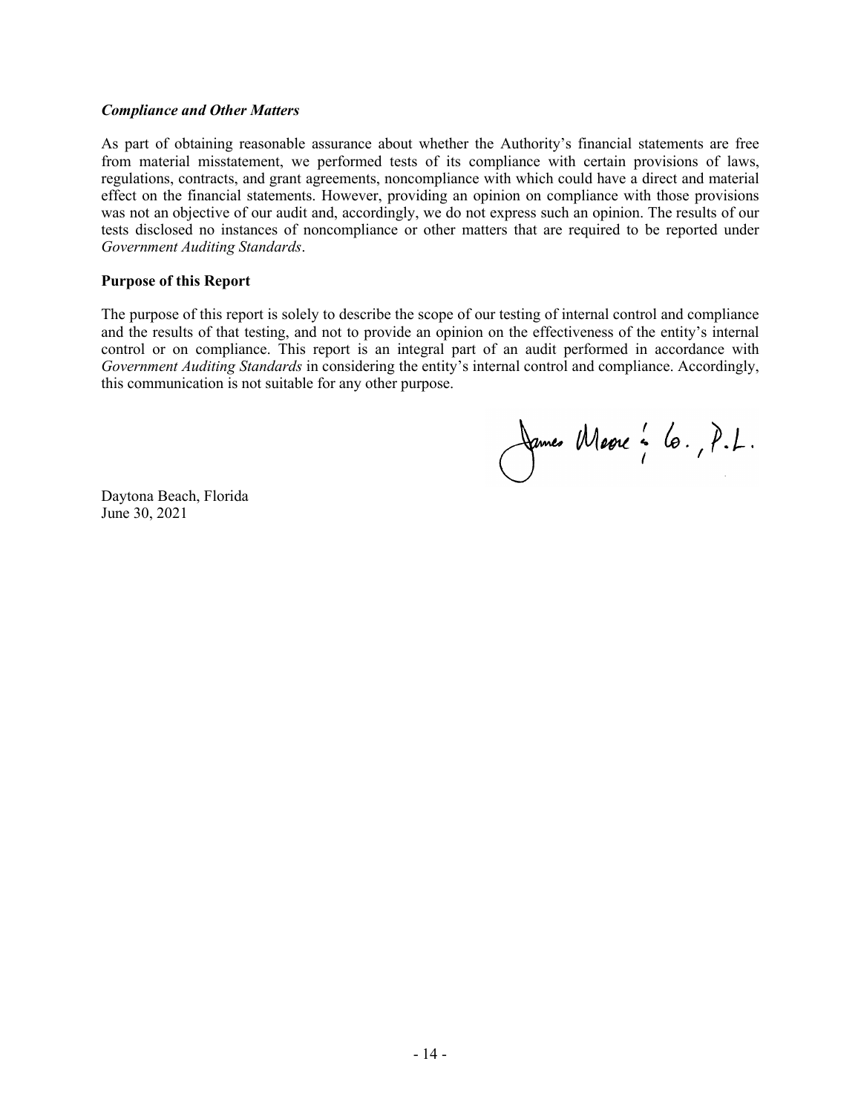#### *Compliance and Other Matters*

As part of obtaining reasonable assurance about whether the Authority's financial statements are free from material misstatement, we performed tests of its compliance with certain provisions of laws, regulations, contracts, and grant agreements, noncompliance with which could have a direct and material effect on the financial statements. However, providing an opinion on compliance with those provisions was not an objective of our audit and, accordingly, we do not express such an opinion. The results of our tests disclosed no instances of noncompliance or other matters that are required to be reported under *Government Auditing Standards*.

### **Purpose of this Report**

The purpose of this report is solely to describe the scope of our testing of internal control and compliance and the results of that testing, and not to provide an opinion on the effectiveness of the entity's internal control or on compliance. This report is an integral part of an audit performed in accordance with *Government Auditing Standards* in considering the entity's internal control and compliance. Accordingly, this communication is not suitable for any other purpose.

James Marre : 6., P.L.

Daytona Beach, Florida June 30, 2021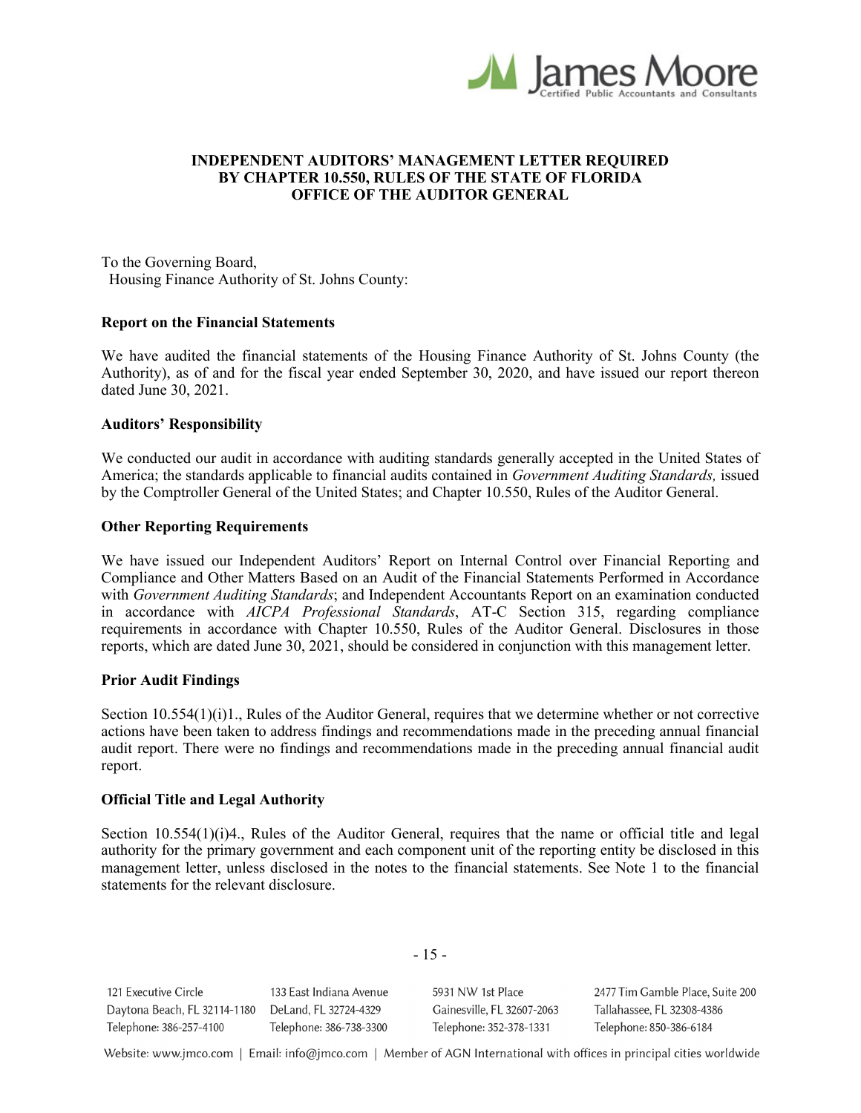

## **INDEPENDENT AUDITORS' MANAGEMENT LETTER REQUIRED BY CHAPTER 10.550, RULES OF THE STATE OF FLORIDA OFFICE OF THE AUDITOR GENERAL**

To the Governing Board, Housing Finance Authority of St. Johns County:

# **Report on the Financial Statements**

We have audited the financial statements of the Housing Finance Authority of St. Johns County (the Authority), as of and for the fiscal year ended September 30, 2020, and have issued our report thereon dated June 30, 2021.

#### **Auditors' Responsibility**

We conducted our audit in accordance with auditing standards generally accepted in the United States of America; the standards applicable to financial audits contained in *Government Auditing Standards,* issued by the Comptroller General of the United States; and Chapter 10.550, Rules of the Auditor General.

#### **Other Reporting Requirements**

We have issued our Independent Auditors' Report on Internal Control over Financial Reporting and Compliance and Other Matters Based on an Audit of the Financial Statements Performed in Accordance with *Government Auditing Standards*; and Independent Accountants Report on an examination conducted in accordance with *AICPA Professional Standards*, AT-C Section 315, regarding compliance requirements in accordance with Chapter 10.550, Rules of the Auditor General. Disclosures in those reports, which are dated June 30, 2021, should be considered in conjunction with this management letter.

#### **Prior Audit Findings**

Section 10.554(1)(i)1., Rules of the Auditor General, requires that we determine whether or not corrective actions have been taken to address findings and recommendations made in the preceding annual financial audit report. There were no findings and recommendations made in the preceding annual financial audit report.

#### **Official Title and Legal Authority**

Section 10.554(1)(i)4., Rules of the Auditor General, requires that the name or official title and legal authority for the primary government and each component unit of the reporting entity be disclosed in this management letter, unless disclosed in the notes to the financial statements. See Note 1 to the financial statements for the relevant disclosure.

- 15 -

121 Executive Circle 133 East Indiana Avenue Daytona Beach, FL 32114-1180 DeLand, FL 32724-4329 Telephone: 386-257-4100 Telephone: 386-738-3300

5931 NW 1st Place Gainesville, FL 32607-2063 Telephone: 352-378-1331

2477 Tim Gamble Place, Suite 200 Tallahassee, FL 32308-4386 Telephone: 850-386-6184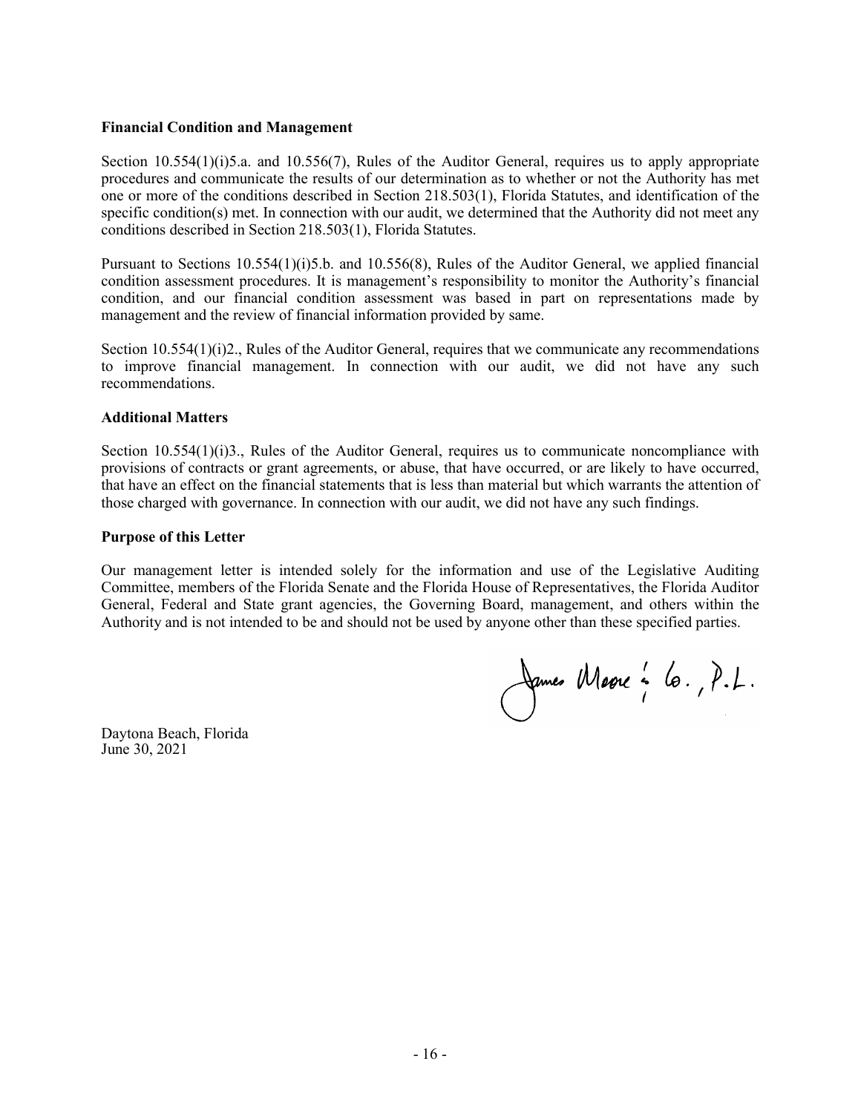## **Financial Condition and Management**

Section 10.554(1)(i)5.a. and 10.556(7), Rules of the Auditor General, requires us to apply appropriate procedures and communicate the results of our determination as to whether or not the Authority has met one or more of the conditions described in Section 218.503(1), Florida Statutes, and identification of the specific condition(s) met. In connection with our audit, we determined that the Authority did not meet any conditions described in Section 218.503(1), Florida Statutes.

Pursuant to Sections 10.554(1)(i)5.b. and 10.556(8), Rules of the Auditor General, we applied financial condition assessment procedures. It is management's responsibility to monitor the Authority's financial condition, and our financial condition assessment was based in part on representations made by management and the review of financial information provided by same.

Section 10.554(1)(i)2., Rules of the Auditor General, requires that we communicate any recommendations to improve financial management. In connection with our audit, we did not have any such recommendations.

# **Additional Matters**

Section 10.554(1)(i)3., Rules of the Auditor General, requires us to communicate noncompliance with provisions of contracts or grant agreements, or abuse, that have occurred, or are likely to have occurred, that have an effect on the financial statements that is less than material but which warrants the attention of those charged with governance. In connection with our audit, we did not have any such findings.

## **Purpose of this Letter**

Our management letter is intended solely for the information and use of the Legislative Auditing Committee, members of the Florida Senate and the Florida House of Representatives, the Florida Auditor General, Federal and State grant agencies, the Governing Board, management, and others within the Authority and is not intended to be and should not be used by anyone other than these specified parties.

James Marre : 6., P.L.

Daytona Beach, Florida June 30, 2021